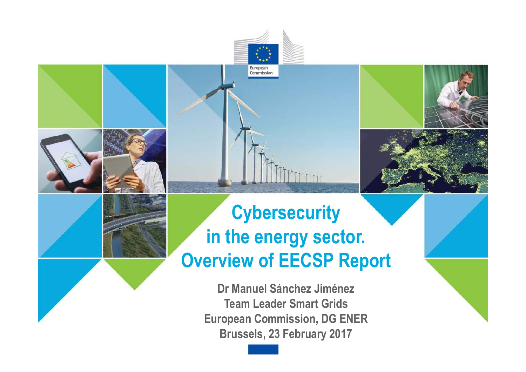# **Cybersecurity in the energy sector. Overview of EECSP Report**

European Commission

**Dr Manuel Sánchez Jiménez Team Leader Smart Grids European Commission, DG ENER Brussels, 23 February 2017**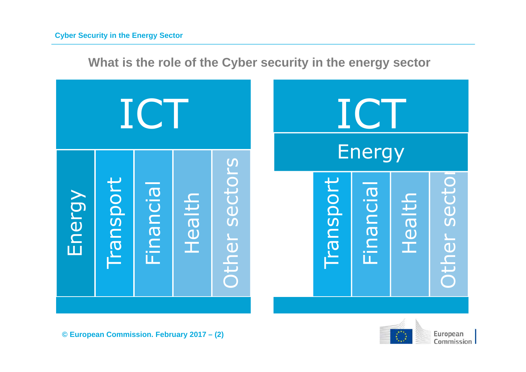**What is the role of the Cyber security in the energy sector**



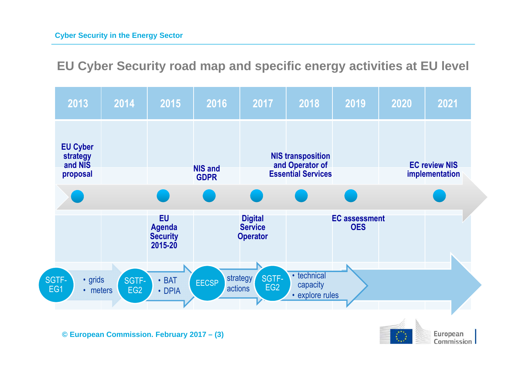**EU Cyber Security road map and specific energy activities at EU level**

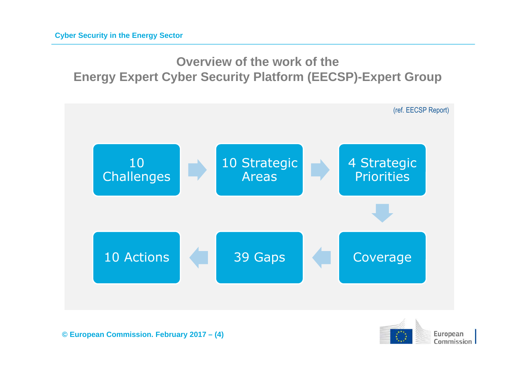## **Overview of the work of the Energy Expert Cyber Security Platform (EECSP)-Expert Group**



**© European Commission. February 2017 – (4)**

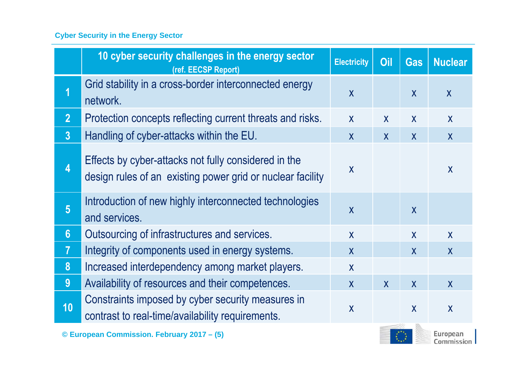#### **Cyber Security in the Energy Sector**

|                                            | 10 cyber security challenges in the energy sector<br>(ref. EECSP Report)                                           | <b>Electricity</b> | Oil          | <b>Gas</b>   | <b>Nuclear</b>          |
|--------------------------------------------|--------------------------------------------------------------------------------------------------------------------|--------------------|--------------|--------------|-------------------------|
| 1                                          | Grid stability in a cross-border interconnected energy<br>network.                                                 | $\overline{X}$     |              | $\mathsf{X}$ | $\mathsf{X}$            |
| 2 <sup>1</sup>                             | Protection concepts reflecting current threats and risks.                                                          | $\mathsf{X}$       | $\mathsf{X}$ | $\mathsf{X}$ | $\mathsf{X}$            |
| 3 <sup>1</sup>                             | Handling of cyber-attacks within the EU.                                                                           | $\mathsf{X}$       | $\mathsf{X}$ | $\mathsf{X}$ | $\mathsf{X}$            |
| $\overline{\mathbf{4}}$                    | Effects by cyber-attacks not fully considered in the<br>design rules of an existing power grid or nuclear facility | $\mathsf{X}$       |              |              | $\overline{\mathsf{X}}$ |
| $5\overline{)}$                            | Introduction of new highly interconnected technologies<br>and services.                                            | $\mathsf{X}$       |              | $\mathsf{X}$ |                         |
| 6 <sup>1</sup>                             | Outsourcing of infrastructures and services.                                                                       | $\mathsf{X}$       |              | $\mathsf{X}$ | $\mathsf{X}$            |
| $\overline{7}$                             | Integrity of components used in energy systems.                                                                    | $\mathsf{X}$       |              | $\mathsf{X}$ | $\mathsf{X}$            |
| 8                                          | Increased interdependency among market players.                                                                    | $\mathsf{X}$       |              |              |                         |
| 9 <sup>°</sup>                             | Availability of resources and their competences.                                                                   | $\mathsf{X}$       | $\mathsf{X}$ | $\mathsf{X}$ | $\mathsf{X}$            |
| 10                                         | Constraints imposed by cyber security measures in<br>contrast to real-time/availability requirements.              | $\mathsf{X}$       |              | $\mathsf{X}$ | $\overline{\mathsf{X}}$ |
| © European Commission. February 2017 - (5) |                                                                                                                    |                    |              |              | uropean<br>Commission   |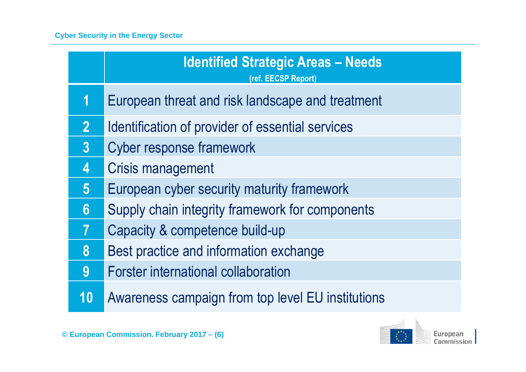|                         | <b>Identified Strategic Areas - Needs</b><br>(ref. EECSP Report) |
|-------------------------|------------------------------------------------------------------|
| 1                       | European threat and risk landscape and treatment                 |
| $\overline{2}$          | Identification of provider of essential services                 |
| 3                       | <b>Cyber response framework</b>                                  |
| $\overline{\mathbf{4}}$ | <b>Crisis management</b>                                         |
| 5 <sup>5</sup>          | European cyber security maturity framework                       |
| $6\phantom{1}$          | Supply chain integrity framework for components                  |
| 7                       | Capacity & competence build-up                                   |
| 8                       | Best practice and information exchange                           |
| 9                       | <b>Forster international collaboration</b>                       |
| 10                      | Awareness campaign from top level EU institutions                |

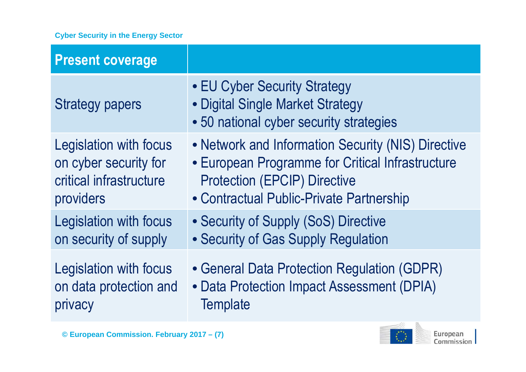#### **Cyber Security in the Energy Sector**

| <b>Present coverage</b>       |                                                                                                             |
|-------------------------------|-------------------------------------------------------------------------------------------------------------|
| <b>Strategy papers</b>        | • EU Cyber Security Strategy<br>• Digital Single Market Strategy<br>• 50 national cyber security strategies |
| <b>Legislation with focus</b> | • Network and Information Security (NIS) Directive                                                          |
| on cyber security for         | • European Programme for Critical Infrastructure                                                            |
| critical infrastructure       | <b>Protection (EPCIP) Directive</b>                                                                         |
| providers                     | • Contractual Public-Private Partnership                                                                    |
| <b>Legislation with focus</b> | • Security of Supply (SoS) Directive                                                                        |
| on security of supply         | • Security of Gas Supply Regulation                                                                         |
| <b>Legislation with focus</b> | • General Data Protection Regulation (GDPR)                                                                 |
| on data protection and        | • Data Protection Impact Assessment (DPIA)                                                                  |
| privacy                       | <b>Template</b>                                                                                             |

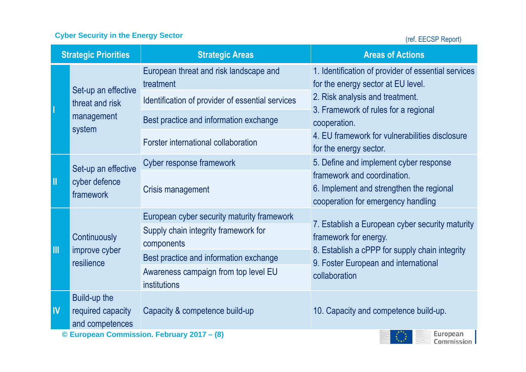### **Cyber Security in the Energy Sector**

(ref. EECSP Report)

| <b>Strategic Priorities</b>                                   |                                                   | <b>Strategic Areas</b>                               | <b>Areas of Actions</b>                                                                                                                                                              |  |  |  |  |
|---------------------------------------------------------------|---------------------------------------------------|------------------------------------------------------|--------------------------------------------------------------------------------------------------------------------------------------------------------------------------------------|--|--|--|--|
|                                                               | Set-up an effective                               | European threat and risk landscape and<br>treatment  | 1. Identification of provider of essential services<br>for the energy sector at EU level.<br>2. Risk analysis and treatment.<br>3. Framework of rules for a regional<br>cooperation. |  |  |  |  |
|                                                               | threat and risk<br>management<br>system           | Identification of provider of essential services     |                                                                                                                                                                                      |  |  |  |  |
|                                                               |                                                   | Best practice and information exchange               |                                                                                                                                                                                      |  |  |  |  |
|                                                               |                                                   | Forster international collaboration                  | 4. EU framework for vulnerabilities disclosure<br>for the energy sector.                                                                                                             |  |  |  |  |
| Ш                                                             | Set-up an effective<br>cyber defence<br>framework | Cyber response framework                             | 5. Define and implement cyber response                                                                                                                                               |  |  |  |  |
|                                                               |                                                   | Crisis management                                    | framework and coordination.<br>6. Implement and strengthen the regional<br>cooperation for emergency handling                                                                        |  |  |  |  |
| III                                                           | Continuously<br>improve cyber<br>resilience       | European cyber security maturity framework           |                                                                                                                                                                                      |  |  |  |  |
|                                                               |                                                   | Supply chain integrity framework for<br>components   | 7. Establish a European cyber security maturity<br>framework for energy.<br>8. Establish a cPPP for supply chain integrity<br>9. Foster European and international                   |  |  |  |  |
|                                                               |                                                   | Best practice and information exchange               |                                                                                                                                                                                      |  |  |  |  |
|                                                               |                                                   | Awareness campaign from top level EU<br>institutions | collaboration                                                                                                                                                                        |  |  |  |  |
| IV                                                            | Build-up the                                      |                                                      |                                                                                                                                                                                      |  |  |  |  |
|                                                               | required capacity                                 | Capacity & competence build-up                       | 10. Capacity and competence build-up.                                                                                                                                                |  |  |  |  |
| and competences<br>© European Commission. February 2017 - (8) |                                                   |                                                      |                                                                                                                                                                                      |  |  |  |  |
| Commission                                                    |                                                   |                                                      |                                                                                                                                                                                      |  |  |  |  |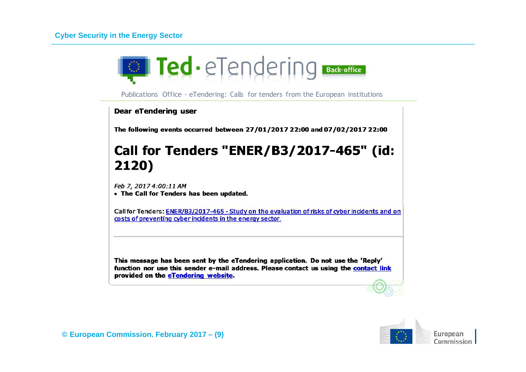

Publications Office - eTendering: Calls for tenders from the European institutions

**Dear eTendering user** 

The following events occurred between 27/01/2017 22:00 and 07/02/2017 22:00

## Call for Tenders "ENER/B3/2017-465" (id: 2120)

Feb 7, 2017 4:00:11 AM

• The Call for Tenders has been updated.

Call for Tenders: ENER/B3/2017-465 - Study on the evaluation of risks of cyber incidents and on costs of preventing cyber incidents in the energy sector.

This message has been sent by the eTendering application. Do not use the 'Reply' function nor use this sender e-mail address. Please contact us using the contact link provided on the eTendering website.